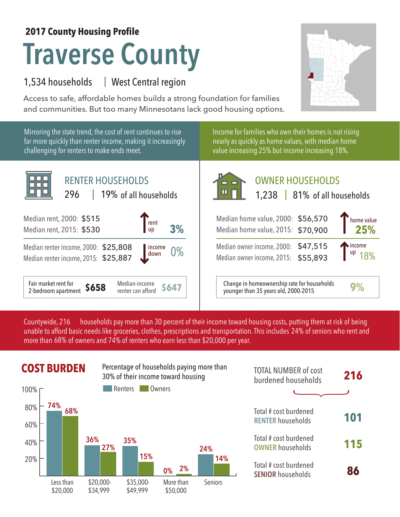## **2017 County Housing Profile**

# **Traverse County**

#### 1,534 households West Central region |

Access to safe, affordable homes builds a strong foundation for families and communities. But too many Minnesotans lack good housing options.

Mirroring the state trend, the cost of rent continues to rise far more quickly than renter income, making it increasingly challenging for renters to make ends meet.

Income for families who own their homes is not rising nearly as quickly as home values, with median home value increasing 25% but income increasing 18%.



## OWNER HOUSEHOLDS

| Median home value, 2000: \$56,570<br>Median home value, 2015: \$70,900     | home value<br>25%                  |
|----------------------------------------------------------------------------|------------------------------------|
| Median owner income, 2000: \$47,515<br>Median owner income, 2015: \$55,893 | $\int_{\text{up}}^{\text{income}}$ |
| Change in homeownership rate for households                                |                                    |

Median-income **\$647** Change in homeownership rate for households **9%**<br>
renter can afford **\$647** Junger than 35 years old, 2000-2015

households pay more than 30 percent of their income toward housing costs, putting them at risk of being unable to afford basic needs like groceries, clothes, prescriptions and transportation. This includes 24% of seniors who rent and more than 68% of owners and 74% of renters who earn less than \$20,000 per year. Countywide, 216



| <b>TOTAL NUMBER of cost</b><br>burdened households | 216 |
|----------------------------------------------------|-----|
|                                                    |     |
| Total # cost burdened<br><b>RENTER households</b>  | 101 |
| Total # cost burdened<br><b>OWNER households</b>   | 115 |
| Total # cost burdened<br><b>SENIOR households</b>  |     |